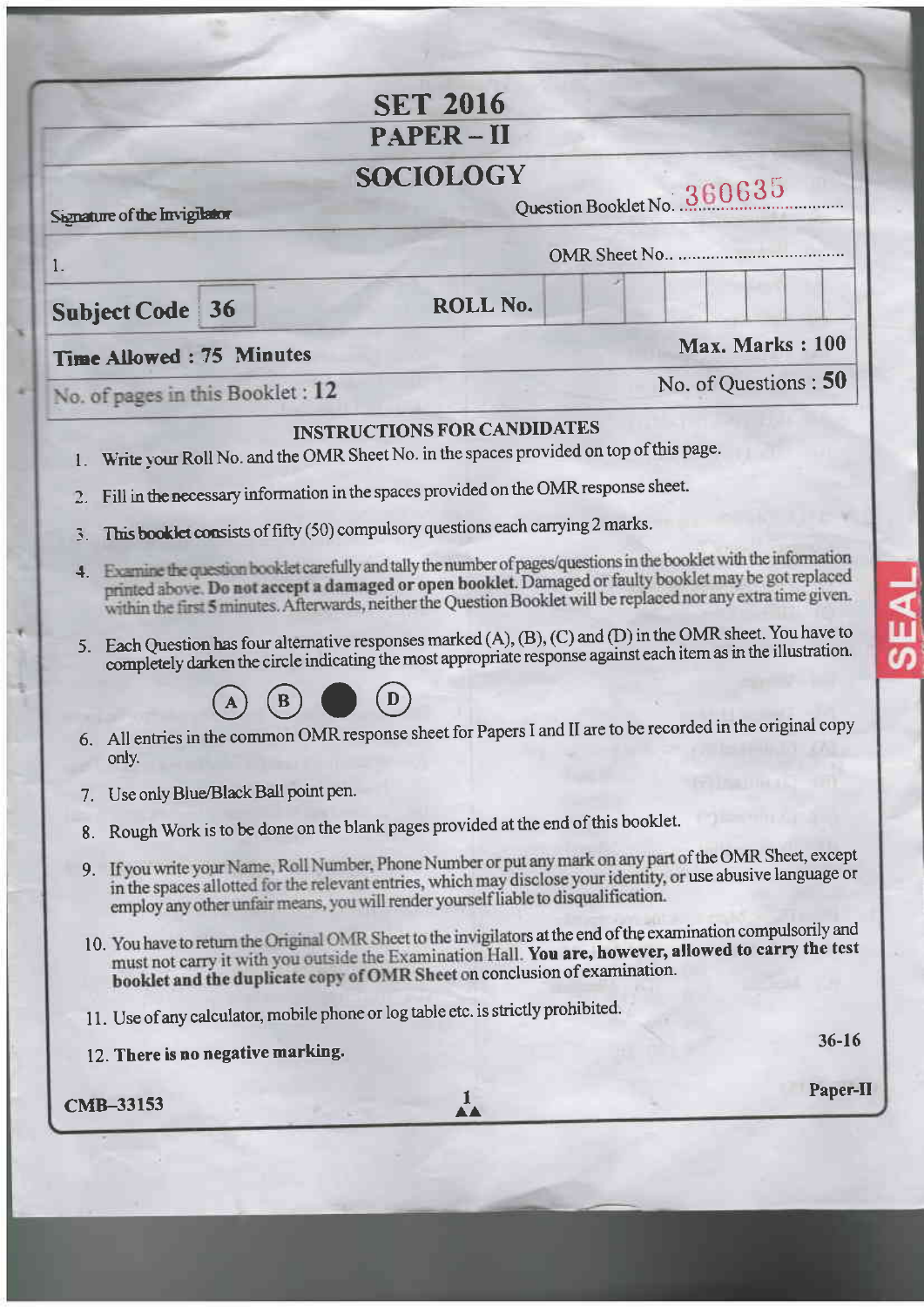|                                        | <b>SET 2016</b>                                                                                                                                                                                                                                                                                                                                                                                                                                                                                                                                                                                                                                                       |                             |
|----------------------------------------|-----------------------------------------------------------------------------------------------------------------------------------------------------------------------------------------------------------------------------------------------------------------------------------------------------------------------------------------------------------------------------------------------------------------------------------------------------------------------------------------------------------------------------------------------------------------------------------------------------------------------------------------------------------------------|-----------------------------|
|                                        | <b>PAPER-II</b>                                                                                                                                                                                                                                                                                                                                                                                                                                                                                                                                                                                                                                                       |                             |
| Signature of the Invigilator           | <b>SOCIOLOGY</b>                                                                                                                                                                                                                                                                                                                                                                                                                                                                                                                                                                                                                                                      | Question Booklet No. 360635 |
| 1.                                     |                                                                                                                                                                                                                                                                                                                                                                                                                                                                                                                                                                                                                                                                       |                             |
| <b>Subject Code 36</b>                 | <b>ROLL No.</b>                                                                                                                                                                                                                                                                                                                                                                                                                                                                                                                                                                                                                                                       |                             |
| Time Allowed: 75 Minutes               |                                                                                                                                                                                                                                                                                                                                                                                                                                                                                                                                                                                                                                                                       | Max. Marks: 100             |
| No. of pages in this Booklet : 12      |                                                                                                                                                                                                                                                                                                                                                                                                                                                                                                                                                                                                                                                                       | No. of Questions: 50        |
| 3.                                     | This booklet consists of fifty (50) compulsory questions each carrying 2 marks.<br>4. Examine the question booklet carefully and tally the number of pages/questions in the booklet with the information<br>printed above. Do not accept a damaged or open booklet. Damaged or faulty booklet may be got replaced<br>within the first 5 minutes. Afterwards, neither the Question Booklet will be replaced nor any extra time given.<br>5. Each Question has four alternative responses marked (A), (B), (C) and (D) in the OMR sheet. You have to<br>completely darken the circle indicating the most appropriate response against each item as in the illustration. |                             |
| only.                                  | 6. All entries in the common OMR response sheet for Papers I and II are to be recorded in the original copy                                                                                                                                                                                                                                                                                                                                                                                                                                                                                                                                                           |                             |
|                                        |                                                                                                                                                                                                                                                                                                                                                                                                                                                                                                                                                                                                                                                                       |                             |
| 7. Use only Blue/Black Ball point pen. |                                                                                                                                                                                                                                                                                                                                                                                                                                                                                                                                                                                                                                                                       |                             |
| 8.                                     | Rough Work is to be done on the blank pages provided at the end of this booklet.<br>9. If you write your Name, Roll Number, Phone Number or put any mark on any part of the OMR Sheet, except<br>in the spaces allotted for the relevant entries, which may disclose your identity, or use abusive language or<br>employ any other unfair means, you will render yourself liable to disqualification.                                                                                                                                                                                                                                                                 |                             |
|                                        | 10. You have to return the Original OMR Sheet to the invigilators at the end of the examination compulsorily and<br>must not carry it with you outside the Examination Hall. You are, however, allowed to carry the test<br>booklet and the duplicate copy of OMR Sheet on conclusion of examination.                                                                                                                                                                                                                                                                                                                                                                 |                             |
|                                        | 11. Use of any calculator, mobile phone or log table etc. is strictly prohibited.                                                                                                                                                                                                                                                                                                                                                                                                                                                                                                                                                                                     |                             |
| 12. There is no negative marking.      |                                                                                                                                                                                                                                                                                                                                                                                                                                                                                                                                                                                                                                                                       | $36 - 16$                   |

s

a

ą

**SEAL**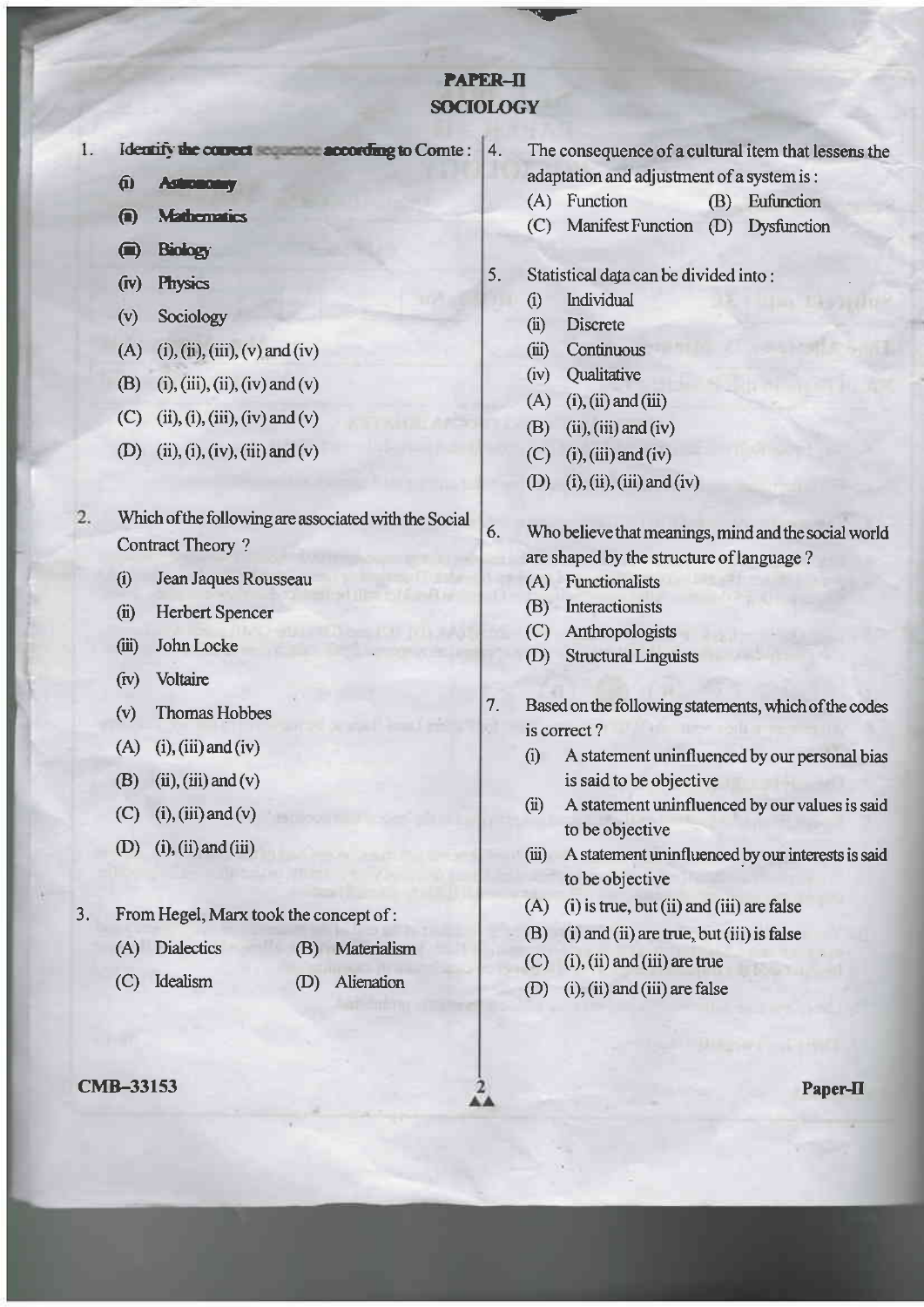# **PAPER-II SOCIOLOGY**

Identify the courect sequence according to Comte: 4.  $1$ 

- $f(x)$ **Astronomia**
- $\bigoplus$ **Mathematics**
- **Biology**  $\bullet$
- Physics  $(r)$
- $(v)$ Sociology
- (A) (i), (ii), (iii), (v) and (iv)
- (B) (i), (iii), (ii), (iv) and (v)
- (C) (ii), (i), (iii), (iv) and (v)
- (D) (ii), (i), (iv), (iii) and (v)
- 2. Which of the following are associated with the Social **Contract Theory?** 
	- Jean Jaques Rousseau  $(i)$
	- $(ii)$ **Herbert Spencer**
	- John Locke  $(iii)$
	- Voltaire  $f(v)$
	- **Thomas Hobbes**  $(v)$
	- $(A)$  (i), (iii) and (iv)
	- (B)  $(ii)$ ,  $(iii)$  and  $(v)$
	- $(C)$  (i), (iii) and (v)
	- (D) (i), (ii) and (iii)
- $3.$ From Hegel, Marx took the concept of:
	- (A) Dialectics (B) Materialism
	- (C) Idealism  $(D)$ Alienation
- **CMB-33153**
- The consequence of a cultural item that lessens the adaptation and adjustment of a system is:
- (A) Function  $(B)$ Eufunction
- (C) Manifest Function (D) Dysfunction
- 5. Statistical data can be divided into:
	- Individual  $\hat{a}$
	- **Discrete**  $(ii)$
	- Continuous  $(iii)$
	- Oualitative  $(iv)$
	- $(A)$  (i), (ii) and (iii)
	- $(ii)$ ,  $(iii)$  and  $(iv)$ (B)
	- $(C)$  (i), (iii) and (iv)
	- (D) (i), (ii), (iii) and (iv)
- 6. Who believe that meanings, mind and the social world are shaped by the structure of language?
	- (A) Functionalists
	- (B) Interactionists

7.

- (C) Anthropologists
- **Structural Linguists**  $(D)$
- Based on the following statements, which of the codes is correct?
	- A statement uninfluenced by our personal bias  $(i)$ is said to be objective
	- A statement uninfluenced by our values is said  $(ii)$ to be objective
	- $(iii)$ A statement uninfluenced by our interests is said to be objective
	- $(A)$  (i) is true, but (ii) and (iii) are false
	- $(B)$  (i) and (ii) are true, but (iii) is false
	- $(C)$  (i), (ii) and (iii) are true
	- (D) (i), (ii) and (iii) are false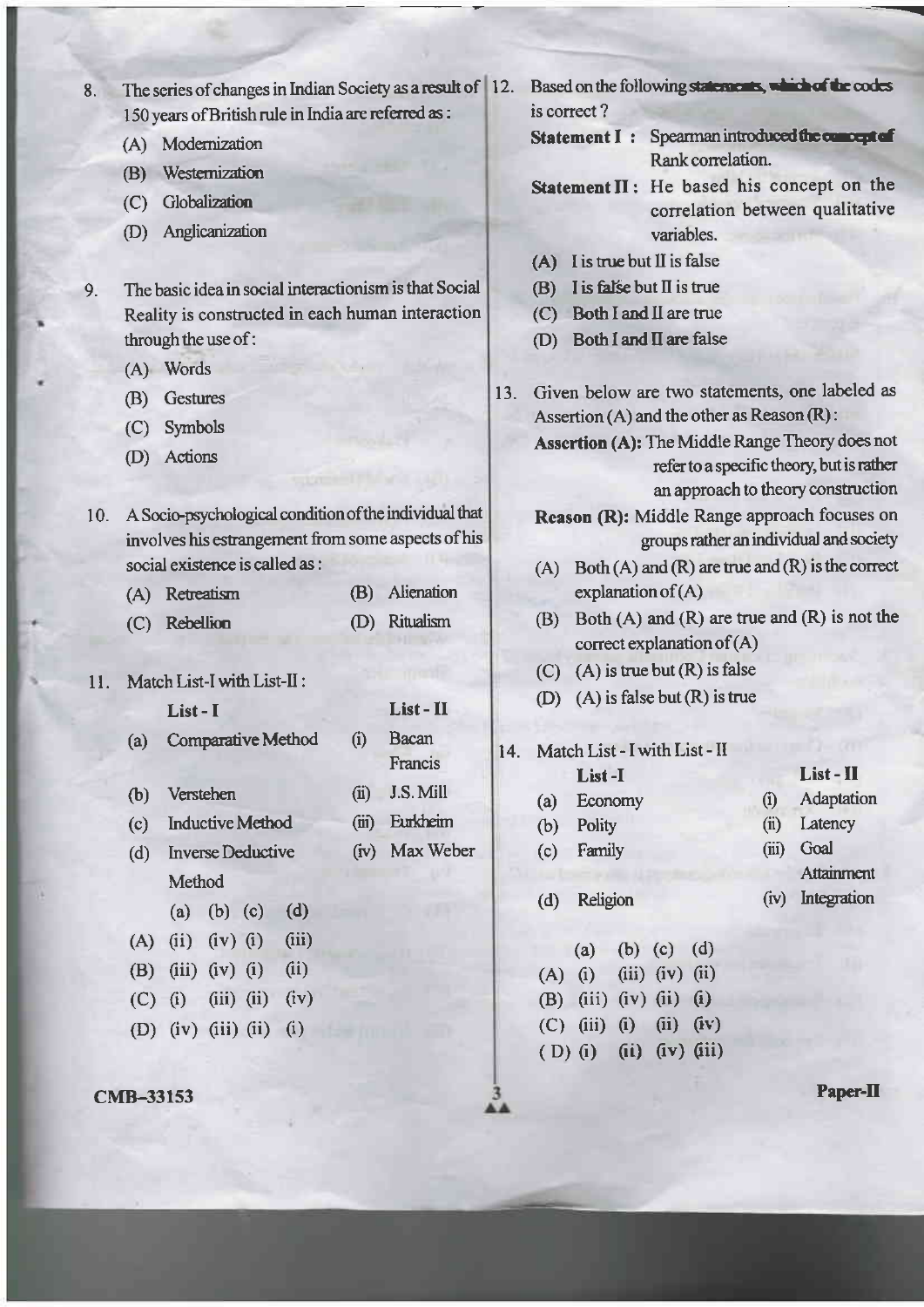| 8.  | The series of changes in Indian Society as a result of 12.<br>150 years of British rule in India are referred as : |     | Based on the following statements, which of the codes<br>is correct?                         |  |  |  |  |
|-----|--------------------------------------------------------------------------------------------------------------------|-----|----------------------------------------------------------------------------------------------|--|--|--|--|
|     | Modernization                                                                                                      |     | Statement I: Spearman introduced the comoept of                                              |  |  |  |  |
|     | (A)<br>Westernization                                                                                              |     | Rank correlation.                                                                            |  |  |  |  |
|     | (B)                                                                                                                |     | Statement II: He based his concept on the                                                    |  |  |  |  |
|     | Globalization<br>(C)                                                                                               |     | correlation between qualitative                                                              |  |  |  |  |
|     | Anglicanization<br>(D)                                                                                             |     | variables.                                                                                   |  |  |  |  |
|     |                                                                                                                    |     | I is true but II is false<br>(A)                                                             |  |  |  |  |
| 9.  | The basic idea in social interactionism is that Social                                                             |     | I is false but $\Pi$ is true<br>(B)                                                          |  |  |  |  |
|     | Reality is constructed in each human interaction                                                                   |     | Both I and II are true<br>(C)                                                                |  |  |  |  |
|     | through the use of:                                                                                                |     | Both I and II are false<br>(D)                                                               |  |  |  |  |
|     | (A) Words                                                                                                          |     |                                                                                              |  |  |  |  |
|     | <b>Gestures</b><br>(B)                                                                                             |     | Given below are two statements, one labeled as<br>13.                                        |  |  |  |  |
|     | Symbols<br>(C)                                                                                                     |     | Assertion (A) and the other as Reason (R):                                                   |  |  |  |  |
|     | Actions<br>(D)                                                                                                     |     | Assertion (A): The Middle Range Theory does not<br>refer to a specific theory, but is rather |  |  |  |  |
|     |                                                                                                                    |     | an approach to theory construction                                                           |  |  |  |  |
| 10. | A Socio-psychological condition of the individual that                                                             |     | Reason (R): Middle Range approach focuses on                                                 |  |  |  |  |
|     | involves his estrangement from some aspects of his                                                                 |     | groups rather an individual and society                                                      |  |  |  |  |
|     | social existence is called as :                                                                                    |     | Both $(A)$ and $(R)$ are true and $(R)$ is the correct<br>(A)                                |  |  |  |  |
|     | Alienation<br>(B)<br>(A) Retreatism                                                                                |     | explanation of $(A)$                                                                         |  |  |  |  |
|     | Ritualism<br>(C) Rebellion<br>(D)                                                                                  |     | Both $(A)$ and $(R)$ are true and $(R)$ is not the<br>(B)                                    |  |  |  |  |
|     |                                                                                                                    |     | correct explanation of $(A)$                                                                 |  |  |  |  |
| 11. | Match List-I with List-II:                                                                                         |     | $(A)$ is true but $(R)$ is false<br>(C)                                                      |  |  |  |  |
|     | List-II<br>List-I                                                                                                  |     | $(A)$ is false but $(R)$ is true<br>(D)                                                      |  |  |  |  |
|     | Bacan<br><b>Comparative Method</b><br>(i)                                                                          |     |                                                                                              |  |  |  |  |
|     | (a)<br>Francis                                                                                                     | 14. | Match List - I with List - II                                                                |  |  |  |  |
|     | J.S. Mill<br>(ii)<br>Verstehen<br>(b)                                                                              |     | List - II<br>List-I                                                                          |  |  |  |  |
|     | Eurkheim                                                                                                           |     | Adaptation<br>(i)<br>Economy<br>(a)                                                          |  |  |  |  |
|     | <b>Inductive Method</b><br>(iii)<br>(c)                                                                            |     | Latency<br>Polity<br>(ii)<br>(b)<br>Goal<br>(iii)                                            |  |  |  |  |
|     | Max Weber<br><b>Inverse Deductive</b><br>(iv)<br>(d)                                                               |     | Family<br>(c)<br>Attainment                                                                  |  |  |  |  |
|     | Method                                                                                                             |     | Integration<br>Religion<br>(r)<br>(d)                                                        |  |  |  |  |
|     | (a) (b) (c)<br>(d)                                                                                                 |     |                                                                                              |  |  |  |  |
|     | (iii)<br>$(iv)$ $(i)$<br>(ii)<br>(A)                                                                               |     | (d)<br>$(b)$ (c)<br>(a)                                                                      |  |  |  |  |
|     | (i)<br>(iii)<br>(iv)<br>(i)<br>(B)                                                                                 |     | (i)<br>$(iii)$ $(iv)$<br>(ii)<br>(A)                                                         |  |  |  |  |
|     | (iv)<br>(iii)<br>(ii)<br>(C)<br>(i)                                                                                |     | $(iii)$ $(iv)$ $(ii)$<br>$\left( i\right)$<br>(B)                                            |  |  |  |  |
|     | (i)<br>$(iv)$ $(iii)$ $(ii)$<br>(D)                                                                                |     | (r)<br>(iii)<br>(ii)<br>(i)<br>(C)                                                           |  |  |  |  |
|     |                                                                                                                    |     | $(D)$ (i) (ii) $(iv)$ (iii)                                                                  |  |  |  |  |

 $\frac{3}{44}$ 

CMB-33153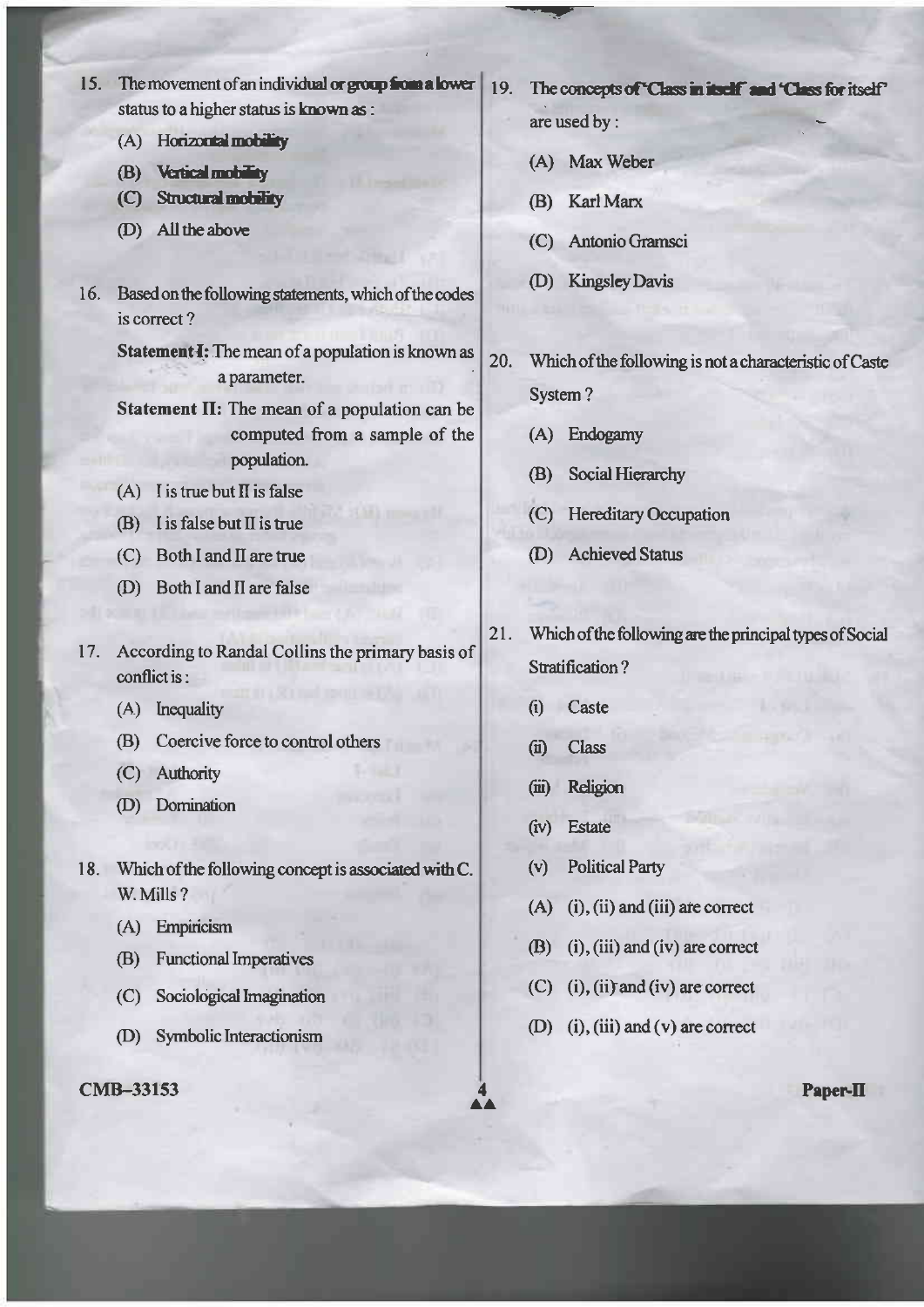- 15. The movement of an individual or group from a lower status to a higher status is known as :
	- (A) Horizontal mobility
	- (B) Vertical mobility
	- (C) Structural mobility
	- (D) All the above
- 16. Based on the following statements, which of the codes is correct?

Statement I: The mean of a population is known as a parameter.

- Statement II: The mean of a population can be computed from a sample of the population.
- $(A)$  I is true but II is false
- $(B)$  I is false but II is true
- (C) Both I and II are true
- (D) Both I and II are false
- 17. According to Randal Collins the primary basis of conflict is:
	- (A) Inequality
	- (B) Coercive force to control others
	- (C) Authority
	- (D) Domination
- 18. Which of the following concept is associated with C. W. Mills ?
	- (A) Empiricism
	- (B) Functional Imperatives
	- (C) Sociological Imagination
	- (D) Symbolic Interactionism

**CMB-33153** 

- 19. The concepts of "Class in itself" and "Class for itself" are used by:
	- (A) Max Weber
	- (B) Karl Marx
	- (C) Antonio Gramsci
	- (D) Kingsley Davis
- 20. Which of the following is not a characteristic of Caste System?
	- (A) Endogamy
	- Social Hierarchy  $(B)$
	- (C) Hereditary Occupation
	- (D) Achieved Status
- Which of the following are the principal types of Social  $21.$ Stratification?
	- $\ddot{\Omega}$ Caste
	- $(ii)$ **Class**
	- Religion  $(iii)$
	- $(iv)$ **Estate**
	- **Political Party**  $(v)$
	- $(A)$  $(i)$ ,  $(ii)$  and  $(iii)$  are correct
	- $(B)$  (i), (iii) and (iv) are correct
	- $(C)$  (i), (ii) and (iv) are correct
	- (D) (i), (iii) and (v) are correct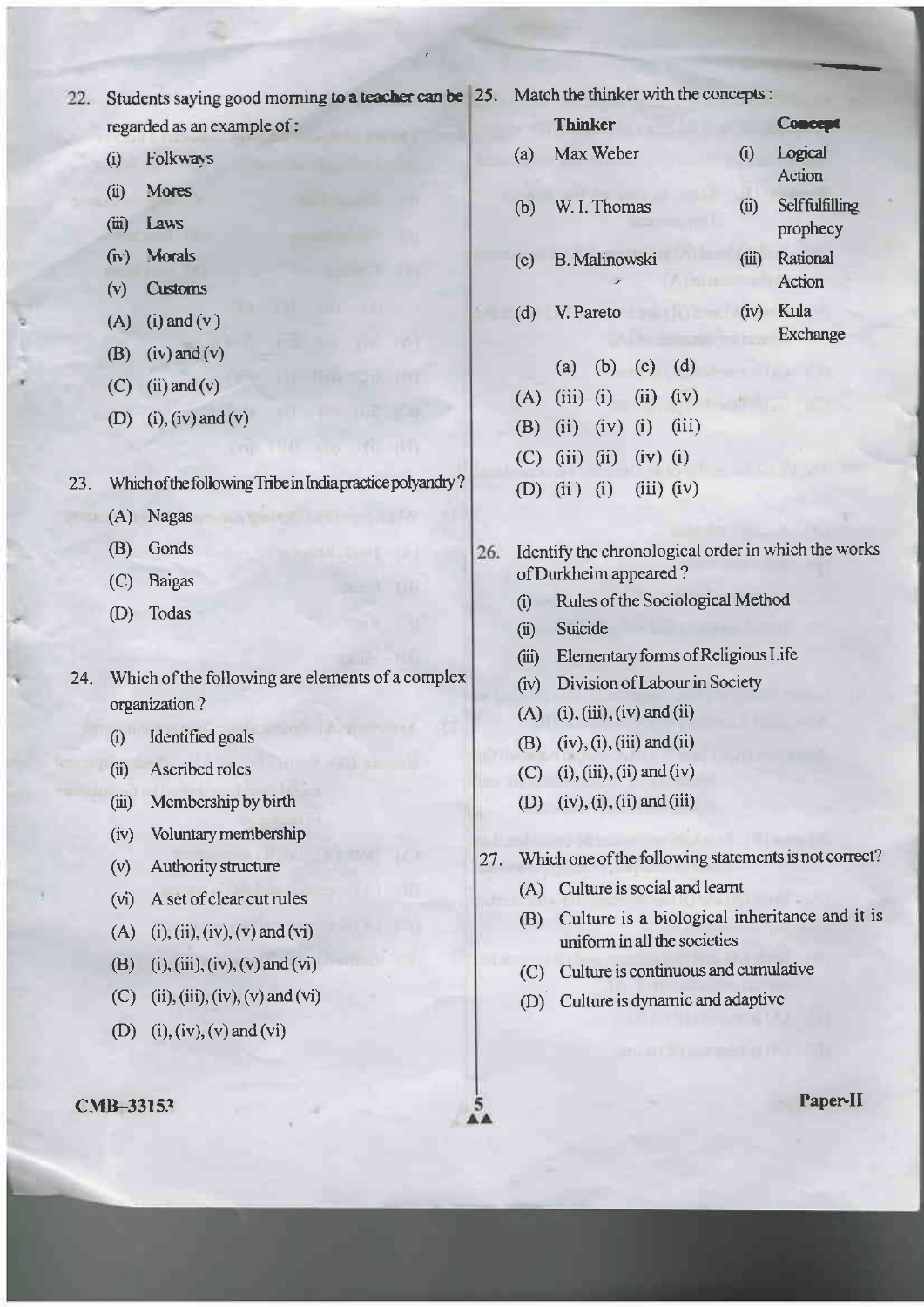Students saying good morning to a teacher can be 25. Match the thinker with the concepts:  $22.$ 

regarded as an example of:

- Folkways  $(i)$
- **Mores**  $(ii)$
- $(m)$  Laws
- (iv) Morals
- $(v)$ **Customs**
- $(A)$  (i) and  $(v)$
- $(iv)$  and  $(v)$  $(B)$
- $(C)$  (ii) and (v)
- $(i)$ ,  $(iv)$  and  $(v)$  $(D)$

23. Which of the following Tribe in India practice polyandry?

- (A) Nagas
- (B) Gonds
- (C) Baigas
- (D) Todas
- Which of the following are elements of a complex  $24.$ organization?
	- Identified goals  $(i)$
	- $(ii)$ Ascribed roles
	- Membership by birth  $(iii)$
	- Voluntary membership  $(iv)$
	- Authority structure  $(v)$
	- A set of clear cut rules  $(v<sub>i</sub>)$
	- $(i)$ ,  $(ii)$ ,  $(iv)$ ,  $(v)$  and  $(vi)$  $(A)$
	- (i), (iii), (iv), (v) and (vi) (B)
	- (C) (ii), (iii), (iv), (v) and (vi)
	- (D) (i), (iv), (v) and (vi)

### CMB-33153

|     | <b>Thinker</b>          |                      |  |      |                            | <b>Concept</b>        |  |
|-----|-------------------------|----------------------|--|------|----------------------------|-----------------------|--|
| (a) |                         | Max Weber            |  | (i)  | Logical<br>Action          |                       |  |
| (b) |                         | W. I. Thomas         |  | (ii) | Selffulfilling<br>prophecy |                       |  |
| (c) |                         | <b>B.</b> Malinowski |  |      | (iii)                      | Rational<br>Action    |  |
|     | (d) V. Pareto           |                      |  |      |                            | (iv) Kula<br>Exchange |  |
|     |                         | (a) (b) (c) (d)      |  |      |                            |                       |  |
|     | (A) (iii) (i) (ii) (iv) |                      |  |      |                            |                       |  |
|     | (B) (ii) (iv) (i) (iii) |                      |  |      |                            |                       |  |

Identify the chronological order in which the works 26. of Durkheim appeared?

 $(iv)$  (i)

 $(iii)$   $(iv)$ 

- Rules of the Sociological Method  $(i)$
- Suicide  $(ii)$

 $(C)$  (iii) (ii)

 $(D)$   $(ii)$   $(i)$ 

- Elementary forms of Religious Life  $(iii)$
- (iv) Division of Labour in Society
- $(A)$  (i), (iii), (iv) and (ii)
- $(iv), (i), (iii)$  and  $(ii)$ (B)
- $(C)$  (i), (iii), (ii) and (iv)
- (D)  $(iv)$ , (i), (ii) and (iii)
- Which one of the following statements is not correct?  $27.$ 
	- (A) Culture is social and learnt
	- (B) Culture is a biological inheritance and it is uniform in all the societies
	- (C) Culture is continuous and cumulative
	- (D) Culture is dynamic and adaptive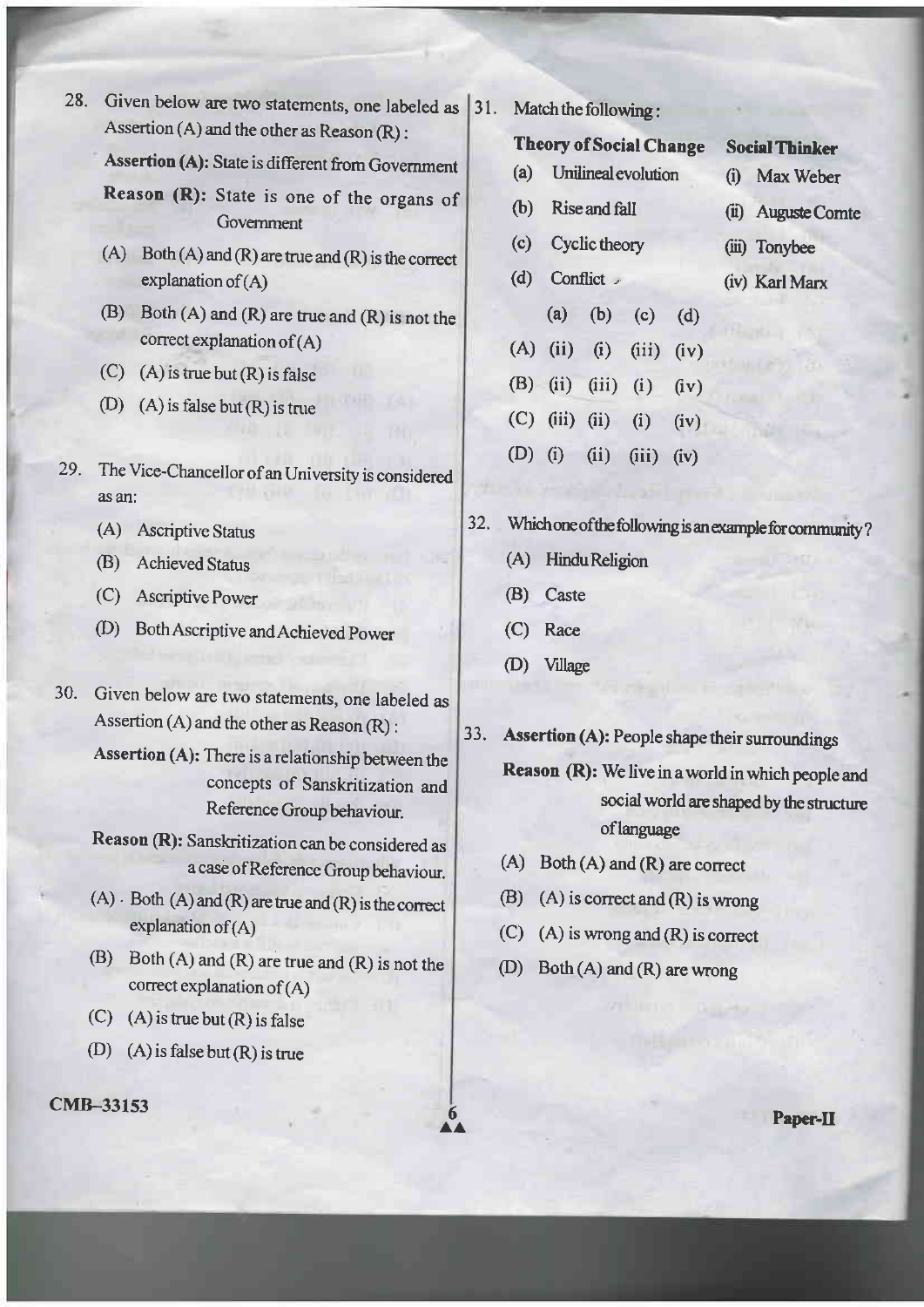Given below are two statements, one labeled as  $|31|$ . Assertion  $(A)$  and the other as Reason  $(R)$ : 28.

Assertion (A): State is different from Government

Reason (R): State is one of the organs of Govemment

- (A) Both  $(A)$  and  $(R)$  are true and  $(R)$  is the correct explanation of  $(A)$
- $(B)$  Both  $(A)$  and  $(R)$  are true and  $(R)$  is not the correct explanation of  $(A)$
- (C) (A) is true but  $(R)$  is false
- (D) (A) is false but  $(R)$  is true
- 29. The Vice-Chancellor of an University is considered as an:
	- (A) Ascriptive Status
	- (B) Achieved Status
	- (C) Ascriptive power
	- (D) Both Ascriptive and Achieved Power
- 30. Given below are two statements, one labeled as Assertion (A) and the other as Reason (R) :

Assertion (A): There is a relationship between the concepts of Sanskritization and Reference Group behaviour.

Reason (R): Sanskritization can be considered as <sup>a</sup>case ofReference Group behaviour.

- $(A)$ . Both  $(A)$  and  $(R)$  are true and  $(R)$  is the correct explanation of  $(A)$
- (B) Both  $(A)$  and  $(R)$  are true and  $(R)$  is not the correct explanation of (A)
- (C) (A) is true but  $(R)$  is false
- (D) (A) is false but  $(R)$  is true

### cMB-33153

Match the following :

#### **Theory of Social Change** Social Thinker

- (a) Unilineal evolution
- (b) Rise and fall

(i) Max Weber

(iii) Tonybee

(iv) Karl Marx

(ii) Auguste Comte

- (c) Cyclic theory
- (d) Conflict  $\overline{y}$
- (a) (b) (c) (d)  $(A)$  (ii) (i) (iii) (iv) (B) (ii) (iii) (i)  $(iv)$ (C) (iii) (ii) (iv) (D) (i) (ii) (iii) (iv)

32. Which one of the following is an example for community

- (A) HinduReligion
- (B) Caste
- (C) Race
- (D) Village

6  $\mathbf{A}$ 

Assertion (A): People shape their surroundings 33.

> Reason (R): We live in a world in which people and social world are shaped by the structure oflanguage

- $(A)$  Both  $(A)$  and  $(R)$  are correct
- (B) (A) is correct and  $(R)$  is wrong
- (C) (A) is wrong and (R) is correct
- (D) Both (A) and (R) are wrong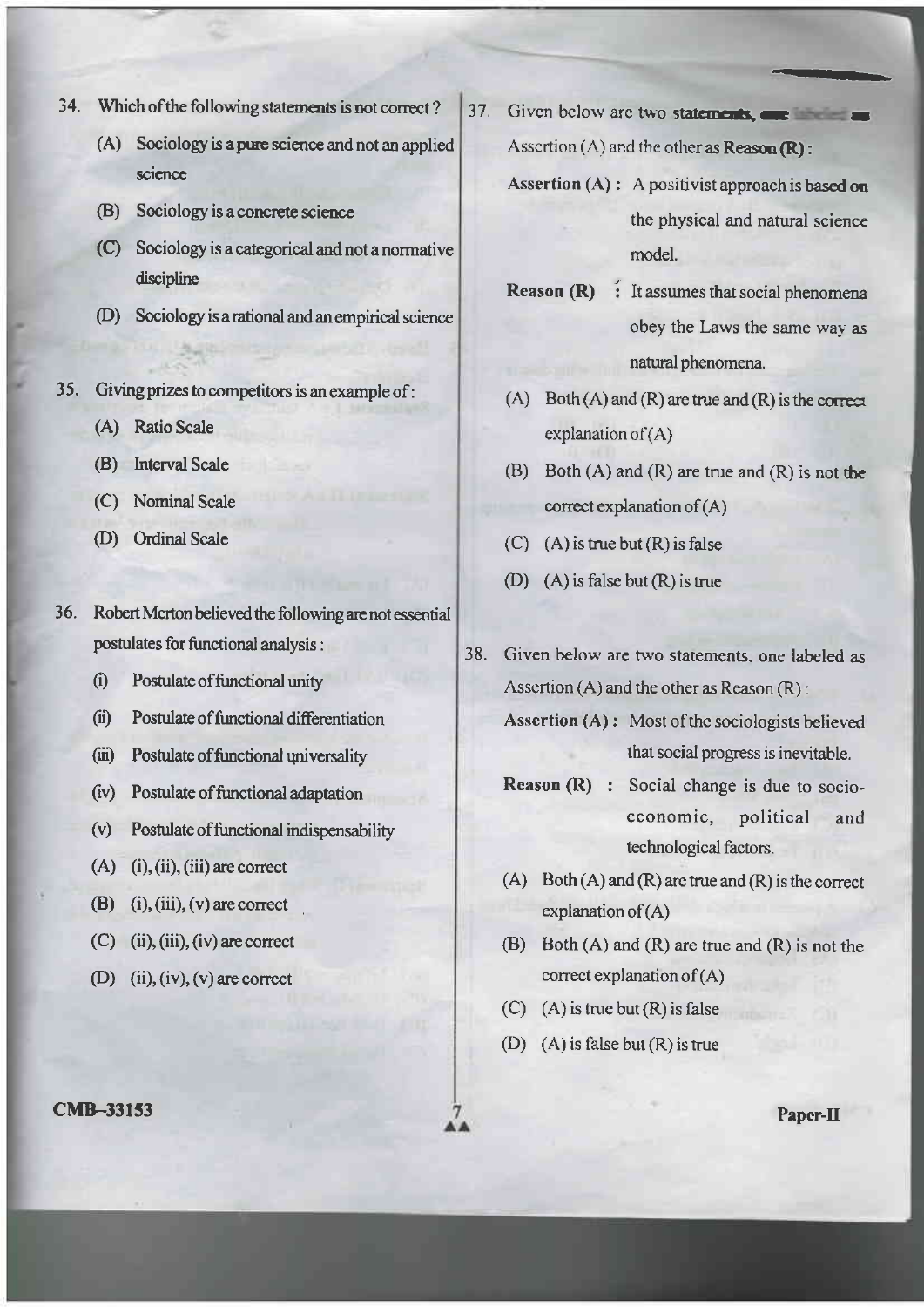- 34. Which of the following statements is not correct?
	- (A) Sociology is a pure science and not an applied science
	- (B) Sociology is a concrete science
	- (C) Sociology is a categorical and not a normative discipline
	- (D) Sociology is a rational and an empirical science
- 35. Giving prizes to competitors is an example of:
	- (A) Ratio Scale
	- (B) Interval Scale
	- (C) Nominal Scale
	- (D) Ordinal Scale
- 36. Robert Merton believed the following are not essential postulates for functional analysis:
	- Postulate of functional unity  $(i)$
	- Postulate of functional differentiation  $(ii)$
	- $(iii)$ Postulate of functional universality
	- $(iv)$ Postulate of functional adaptation
	- Postulate of functional indispensability  $(v)$
	- $(A)$  $(i)$ ,  $(ii)$ ,  $(iii)$  are correct
	- (B) (i), (iii), (v) are correct
	- $(C)$  (ii), (iii), (iv) are correct
	- (D) (ii), (iv), (v) are correct
- **CMB-33153**
- 37. Given below are two statements, one has Assertion  $(A)$  and the other as Reason  $(R)$ :
	- Assertion (A) : A positivist approach is based on the physical and natural science model.
	- **Reason (R)** : It assumes that social phenomena obey the Laws the same way as natural phenomena.
	- (A) Both  $(A)$  and  $(R)$  are true and  $(R)$  is the correct explanation of  $(A)$
	- (B) Both  $(A)$  and  $(R)$  are true and  $(R)$  is not the correct explanation of  $(A)$
	- $(C)$  (A) is true but  $(R)$  is false
	- (D)  $(A)$  is false but  $(R)$  is true
- 38. Given below are two statements, one labeled as Assertion  $(A)$  and the other as Reason  $(R)$ :
	- Assertion (A): Most of the sociologists believed that social progress is inevitable.
	- Reason (R) : Social change is due to socioeconomic, political and technological factors.
	- (A) Both (A) and (R) are true and (R) is the correct explanation of  $(A)$
	- (B) Both  $(A)$  and  $(R)$  are true and  $(R)$  is not the correct explanation of  $(A)$
	- (C) (A) is true but  $(R)$  is false
	- (D) (A) is false but  $(R)$  is true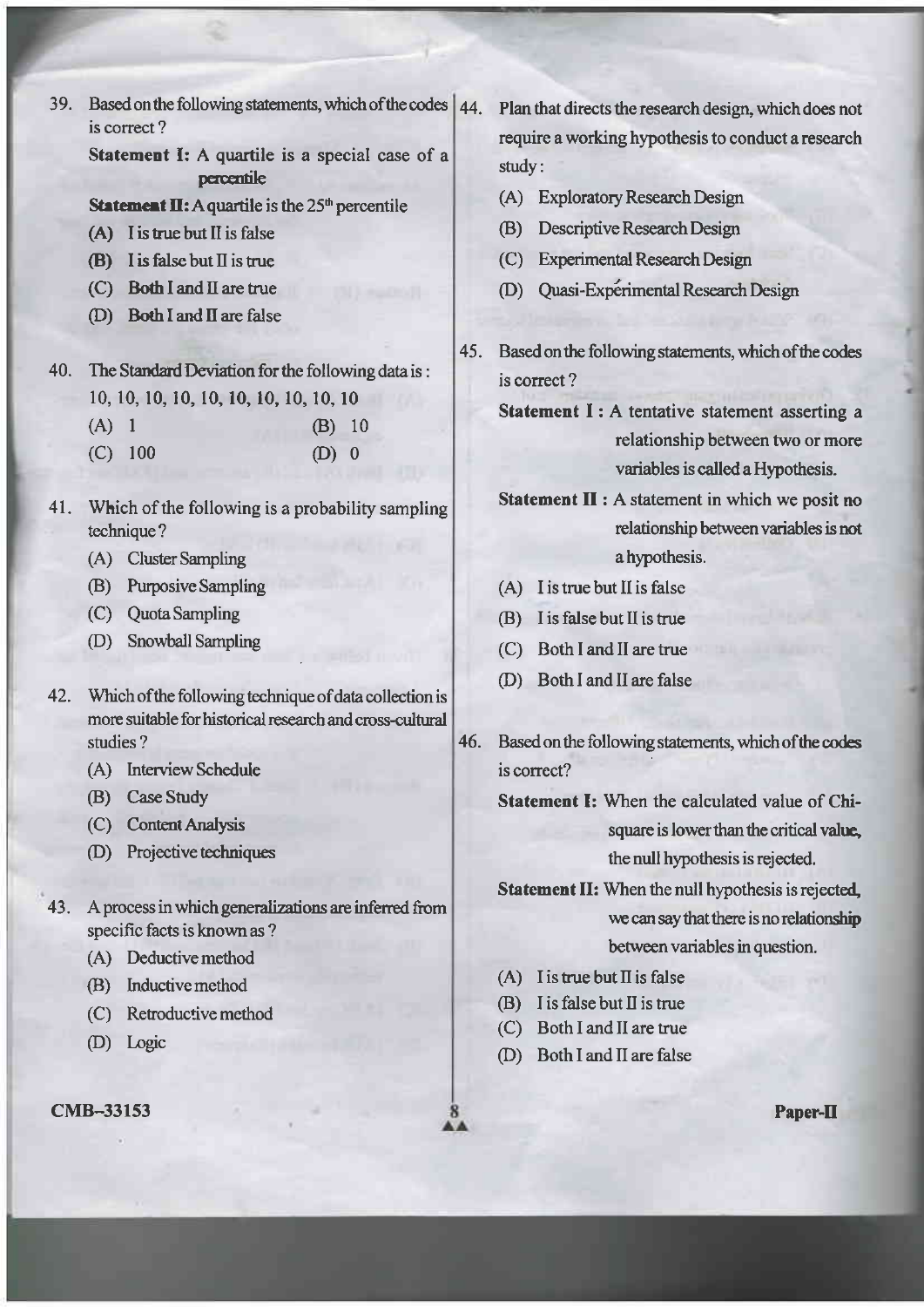39. Based on the following statements, which of the codes  $\vert$  44. is correct ? Statement I: A quartile is a special case of <sup>a</sup>

percentile

## **Statement II:** A quartile is the  $25<sup>th</sup>$  percentile

- $(A)$  I is true but II is false
- $(B)$  I is false but II is true
- $(C)$  Both I and II are true
- (D) Both I and II are false

40. The Standard Deviation for the following data is: 10, 10, 10, 10, t0, 10, 10, 10, 10, l0 (A) I  $(C)$  100 (B) <sup>10</sup> (D) 0

- 41. Which of the following is a probability sampling technique ?
	- (A) Cluster Sampling
	- @) Purposive Sampling
	- (C) Quota Sampling
	- (D) Snowball Sampling
- 42. Which of the following technique of data collection is morc suitable for historical research and cross-cultual shrdies ?
	- (A) Interview Schedule
	- (B) Case Study
	- (C) Content Analysis
	- (D) Projective techniques
- 43. A process in which generalizations are inferred from specific facts is known as ?
	- (A) Deductive method
	- @) Inductivemethod
	- $(C)$  Retroductive method
	- (D) Logic

Plan that directs the research design, which does not require a working hypothesis to conduct a research study :

- (A) Exploratory Research Design
- (B) Descriptive Research Design
- (C) Experimental Research Design
- (D) Quasi-Experimental Research Design
- Based on the following statements, which of the codes is correct? 45.
	- Statement I: A tentative statement asserting a relationship between two or more variables is called a Hypothesis.

Statement II : A statement in which we posit no relationship between variables is not a hypothesis.

- (A) <sup>I</sup>is true but II is false
- @) <sup>I</sup>is false but II is true
- (C) Both I and II are true
- @) Both I and II are false
- 46. Based on the following statements, which of the codes is correct?

Statemcnt I: When the calculated value of Chisquare is lower than the critical value. the null hypothesis is rejected.

Statement II: When the null hypothesis is rejected, we can say that there is no relationship between variables in question.

- (A) I is true but II is false
- $(B)$  I is false but II is true
- (C) Both I and II are true
- @) Both I and II are false